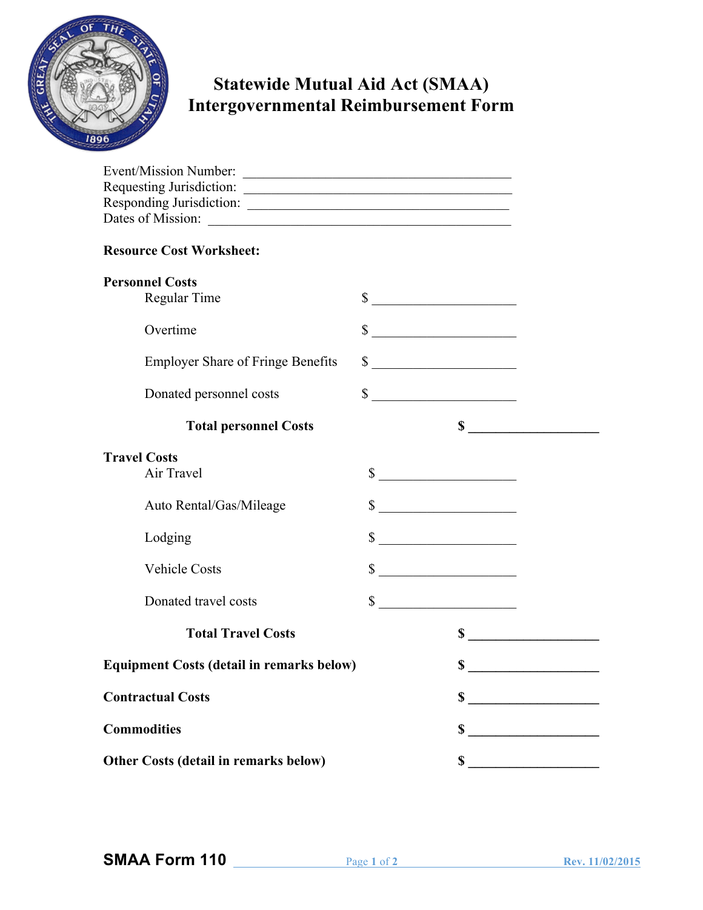

## **Statewide Mutual Aid Act (SMAA) Intergovernmental Reimbursement Form**

| Event/Mission Number:                            |              |                             |  |
|--------------------------------------------------|--------------|-----------------------------|--|
| Requesting Jurisdiction:                         |              |                             |  |
| Responding Jurisdiction:                         |              |                             |  |
|                                                  |              |                             |  |
| <b>Resource Cost Worksheet:</b>                  |              |                             |  |
| <b>Personnel Costs</b>                           |              |                             |  |
| Regular Time                                     |              | $\sim$                      |  |
| Overtime                                         | \$           |                             |  |
| <b>Employer Share of Fringe Benefits</b>         | \$           |                             |  |
| Donated personnel costs                          |              | $\sim$                      |  |
| <b>Total personnel Costs</b>                     |              |                             |  |
| <b>Travel Costs</b>                              |              |                             |  |
| Air Travel                                       |              | $\sim$                      |  |
| Auto Rental/Gas/Mileage                          |              | $\sim$                      |  |
| Lodging                                          | $\mathbb{S}$ |                             |  |
| <b>Vehicle Costs</b>                             | \$           |                             |  |
| Donated travel costs                             |              | $\frac{\text{S}}{\text{S}}$ |  |
| <b>Total Travel Costs</b>                        |              | \$                          |  |
| <b>Equipment Costs (detail in remarks below)</b> |              | \$                          |  |
| <b>Contractual Costs</b>                         |              | \$                          |  |
| <b>Commodities</b>                               |              | \$                          |  |
| Other Costs (detail in remarks below)            |              | \$                          |  |